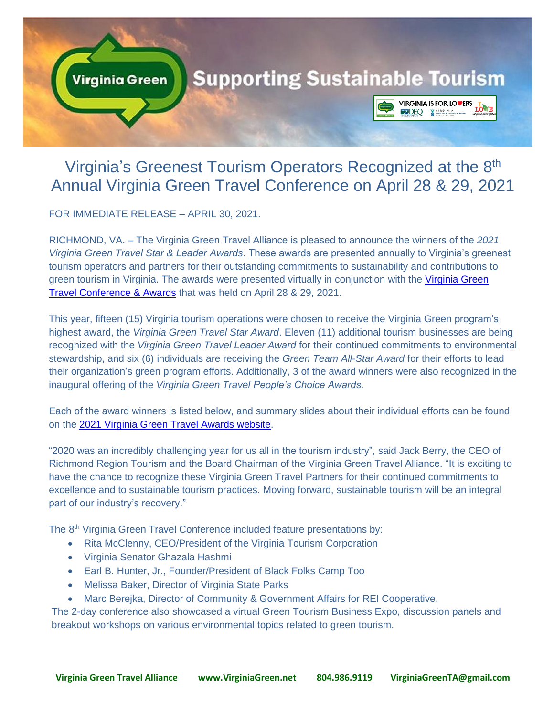

# Virginia's Greenest Tourism Operators Recognized at the 8<sup>th</sup> Annual Virginia Green Travel Conference on April 28 & 29, 2021

FOR IMMEDIATE RELEASE – APRIL 30, 2021.

RICHMOND, VA. – The Virginia Green Travel Alliance is pleased to announce the winners of the *2021 Virginia Green Travel Star & Leader Awards*. These awards are presented annually to Virginia's greenest tourism operators and partners for their outstanding commitments to sustainability and contributions to green tourism in Virginia. The awards were presented virtually in conjunction with the [Virginia Green](https://web.cvent.com/event/ccefe41b-34a4-4aa9-b3a3-c455f49eab83/summary)  [Travel Conference & Awards](https://web.cvent.com/event/ccefe41b-34a4-4aa9-b3a3-c455f49eab83/summary) that was held on April 28 & 29, 2021.

This year, fifteen (15) Virginia tourism operations were chosen to receive the Virginia Green program's highest award, the *Virginia Green Travel Star Award*. Eleven (11) additional tourism businesses are being recognized with the *Virginia Green Travel Leader Award* for their continued commitments to environmental stewardship, and six (6) individuals are receiving the *Green Team All-Star Award* for their efforts to lead their organization's green program efforts. Additionally, 3 of the award winners were also recognized in the inaugural offering of the *Virginia Green Travel People's Choice Awards*.

Each of the award winners is listed below, and summary slides about their individual efforts can be found on the [2021 Virginia Green Travel Awards website.](http://www.virginiagreen.net/virginia-green-travel-star-awards-2021)

"2020 was an incredibly challenging year for us all in the tourism industry", said Jack Berry, the CEO of Richmond Region Tourism and the Board Chairman of the Virginia Green Travel Alliance. "It is exciting to have the chance to recognize these Virginia Green Travel Partners for their continued commitments to excellence and to sustainable tourism practices. Moving forward, sustainable tourism will be an integral part of our industry's recovery."

The 8<sup>th</sup> Virginia Green Travel Conference included feature presentations by:

- Rita McClenny, CEO/President of the Virginia Tourism Corporation
- Virginia Senator Ghazala Hashmi
- Earl B. Hunter, Jr., Founder/President of Black Folks Camp Too
- Melissa Baker, Director of Virginia State Parks
- Marc Berejka, Director of Community & Government Affairs for REI Cooperative.

The 2-day conference also showcased a virtual Green Tourism Business Expo, discussion panels and breakout workshops on various environmental topics related to green tourism.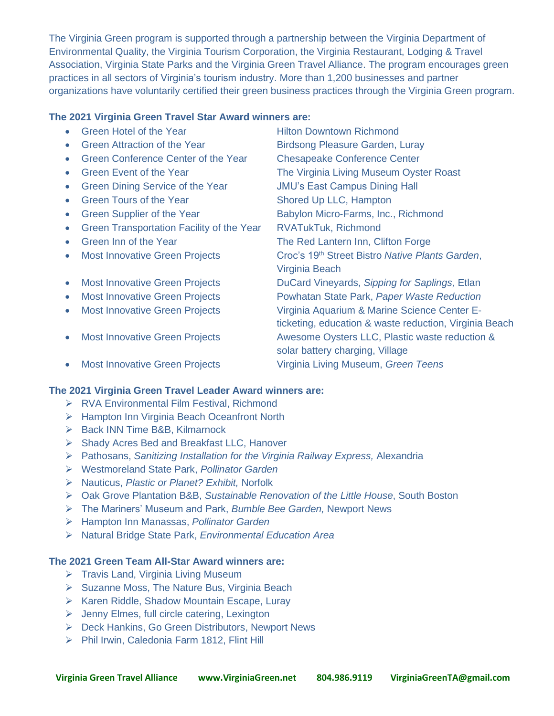The Virginia Green program is supported through a partnership between the Virginia Department of Environmental Quality, the Virginia Tourism Corporation, the Virginia Restaurant, Lodging & Travel Association, Virginia State Parks and the Virginia Green Travel Alliance. The program encourages green practices in all sectors of Virginia's tourism industry. More than 1,200 businesses and partner organizations have voluntarily certified their green business practices through the Virginia Green program.

## **The 2021 Virginia Green Travel Star Award winners are:**

|           | Green Hotel of the Year                    | <b>Hilton Downtown Richmond</b>                             |
|-----------|--------------------------------------------|-------------------------------------------------------------|
|           | <b>Green Attraction of the Year</b>        | <b>Birdsong Pleasure Garden, Luray</b>                      |
|           | <b>Green Conference Center of the Year</b> | <b>Chesapeake Conference Center</b>                         |
|           | <b>Green Event of the Year</b>             | The Virginia Living Museum Oyster Roast                     |
| $\bullet$ | Green Dining Service of the Year           | <b>JMU's East Campus Dining Hall</b>                        |
| $\bullet$ | <b>Green Tours of the Year</b>             | Shored Up LLC, Hampton                                      |
| $\bullet$ | <b>Green Supplier of the Year</b>          | Babylon Micro-Farms, Inc., Richmond                         |
|           | Green Transportation Facility of the Year  | <b>RVATukTuk, Richmond</b>                                  |
|           | Green Inn of the Year                      | The Red Lantern Inn, Clifton Forge                          |
| $\bullet$ | <b>Most Innovative Green Projects</b>      | Croc's 19 <sup>th</sup> Street Bistro Native Plants Garden, |
|           |                                            | Virginia Beach                                              |
| $\bullet$ | <b>Most Innovative Green Projects</b>      | DuCard Vineyards, Sipping for Saplings, Etlan               |
| $\bullet$ | <b>Most Innovative Green Projects</b>      | Powhatan State Park, Paper Waste Reduction                  |
| $\bullet$ | <b>Most Innovative Green Projects</b>      | Virginia Aquarium & Marine Science Center E-                |
|           |                                            | ticketing, education & waste reduction, Virginia Beach      |
| $\bullet$ | <b>Most Innovative Green Projects</b>      | Awesome Oysters LLC, Plastic waste reduction &              |
|           |                                            | solar battery charging, Village                             |
| $\bullet$ | <b>Most Innovative Green Projects</b>      | Virginia Living Museum, Green Teens                         |
|           |                                            |                                                             |

## **The 2021 Virginia Green Travel Leader Award winners are:**

- ➢ RVA Environmental Film Festival, Richmond
- ➢ Hampton Inn Virginia Beach Oceanfront North
- ➢ Back INN Time B&B, Kilmarnock
- ➢ Shady Acres Bed and Breakfast LLC, Hanover
- ➢ Pathosans, *Sanitizing Installation for the Virginia Railway Express,* Alexandria
- ➢ Westmoreland State Park, *Pollinator Garden*
- ➢ Nauticus, *Plastic or Planet? Exhibit,* Norfolk
- ➢ Oak Grove Plantation B&B, *Sustainable Renovation of the Little House*, South Boston
- ➢ The Mariners' Museum and Park, *Bumble Bee Garden,* Newport News
- ➢ Hampton Inn Manassas, *Pollinator Garden*
- ➢ Natural Bridge State Park, *Environmental Education Area*

## **The 2021 Green Team All-Star Award winners are:**

- ➢ Travis Land, Virginia Living Museum
- ➢ Suzanne Moss, The Nature Bus, Virginia Beach
- ➢ Karen Riddle, Shadow Mountain Escape, Luray
- ➢ Jenny Elmes, full circle catering, Lexington
- ➢ Deck Hankins, Go Green Distributors, Newport News
- ➢ Phil Irwin, Caledonia Farm 1812, Flint Hill